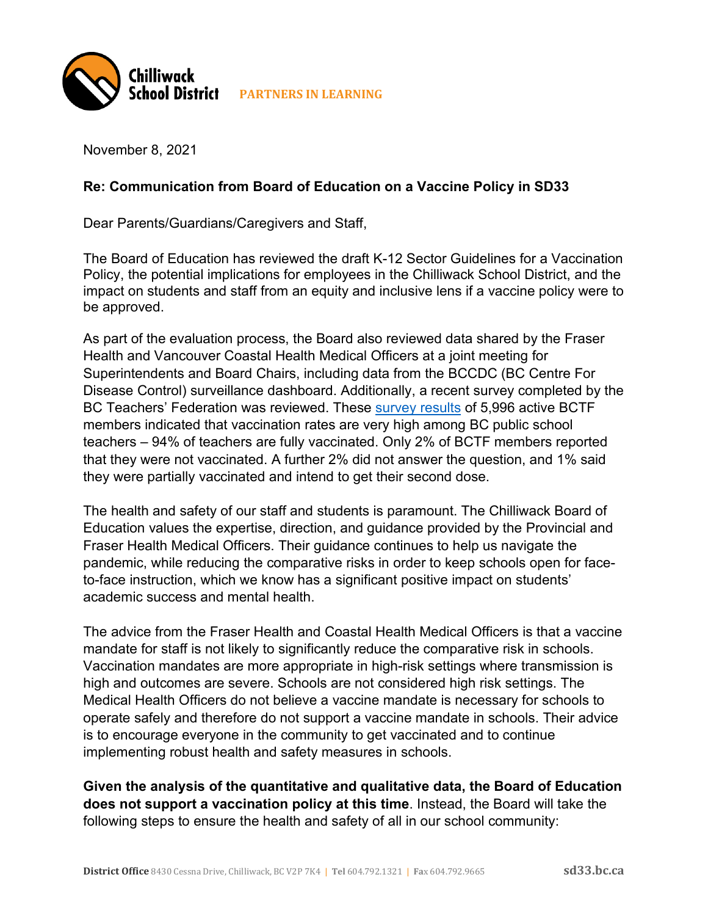

November 8, 2021

## **Re: Communication from Board of Education on a Vaccine Policy in SD33**

Dear Parents/Guardians/Caregivers and Staff,

The Board of Education has reviewed the draft K-12 Sector Guidelines for a Vaccination Policy, the potential implications for employees in the Chilliwack School District, and the impact on students and staff from an equity and inclusive lens if a vaccine policy were to be approved.

As part of the evaluation process, the Board also reviewed data shared by the Fraser Health and Vancouver Coastal Health Medical Officers at a joint meeting for Superintendents and Board Chairs, including data from the BCCDC (BC Centre For Disease Control) surveillance dashboard. Additionally, a recent survey completed by the BC Teachers' Federation was reviewed. These survey results of 5,996 active BCTF members indicated that vaccination rates are very high among BC public school teachers – 94% of teachers are fully vaccinated. Only 2% of BCTF members reported that they were not vaccinated. A further 2% did not answer the question, and 1% said they were partially vaccinated and intend to get their second dose.

The health and safety of our staff and students is paramount. The Chilliwack Board of Education values the expertise, direction, and guidance provided by the Provincial and Fraser Health Medical Officers. Their guidance continues to help us navigate the pandemic, while reducing the comparative risks in order to keep schools open for faceto-face instruction, which we know has a significant positive impact on students' academic success and mental health.

The advice from the Fraser Health and Coastal Health Medical Officers is that a vaccine mandate for staff is not likely to significantly reduce the comparative risk in schools. Vaccination mandates are more appropriate in high-risk settings where transmission is high and outcomes are severe. Schools are not considered high risk settings. The Medical Health Officers do not believe a vaccine mandate is necessary for schools to operate safely and therefore do not support a vaccine mandate in schools. Their advice is to encourage everyone in the community to get vaccinated and to continue implementing robust health and safety measures in schools.

**Given the analysis of the quantitative and qualitative data, the Board of Education does not support a vaccination policy at this time**. Instead, the Board will take the following steps to ensure the health and safety of all in our school community: